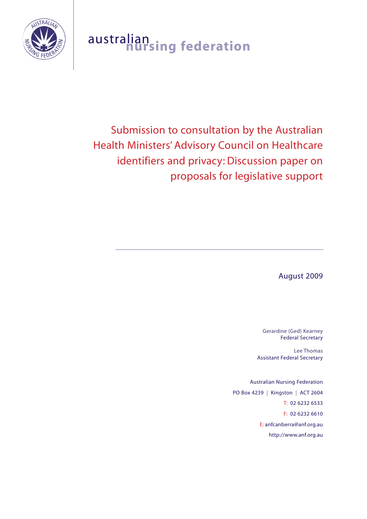

# australian **nursing federation**

Submission to consultation by the Australian Health Ministers' Advisory Council on Healthcare identifiers and privacy: Discussion paper on proposals for legislative support

August 2009

Gerardine (Ged) Kearney Federal Secretary

Lee Thomas Assistant Federal Secretary

Australian Nursing Federation PO Box 4239 | Kingston | ACT 2604 T: 02 6232 6533 F: 02 6232 6610 E: anfcanberra@anf.org.au http://www.anf.org.au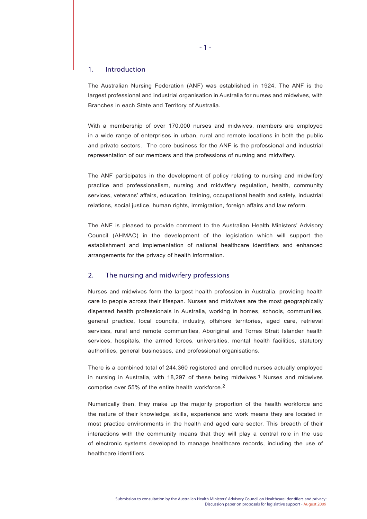## 1. Introduction

The Australian Nursing Federation (ANF) was established in 1924. The ANF is the largest professional and industrial organisation in Australia for nurses and midwives, with Branches in each State and Territory of Australia.

With a membership of over 170,000 nurses and midwives, members are employed in a wide range of enterprises in urban, rural and remote locations in both the public and private sectors. The core business for the ANF is the professional and industrial representation of our members and the professions of nursing and midwifery.

The ANF participates in the development of policy relating to nursing and midwifery practice and professionalism, nursing and midwifery regulation, health, community services, veterans' affairs, education, training, occupational health and safety, industrial relations, social justice, human rights, immigration, foreign affairs and law reform.

The ANF is pleased to provide comment to the Australian Health Ministers' Advisory Council (AHMAC) in the development of the legislation which will support the establishment and implementation of national healthcare identifiers and enhanced arrangements for the privacy of health information.

# 2. The nursing and midwifery professions

Nurses and midwives form the largest health profession in Australia, providing health care to people across their lifespan. Nurses and midwives are the most geographically dispersed health professionals in Australia, working in homes, schools, communities, general practice, local councils, industry, offshore territories, aged care, retrieval services, rural and remote communities, Aboriginal and Torres Strait Islander health services, hospitals, the armed forces, universities, mental health facilities, statutory authorities, general businesses, and professional organisations.

There is a combined total of 244,360 registered and enrolled nurses actually employed in nursing in Australia, with 18,297 of these being midwives.<sup>1</sup> Nurses and midwives comprise over 55% of the entire health workforce.2

Numerically then, they make up the majority proportion of the health workforce and the nature of their knowledge, skills, experience and work means they are located in most practice environments in the health and aged care sector. This breadth of their interactions with the community means that they will play a central role in the use of electronic systems developed to manage healthcare records, including the use of healthcare identifiers.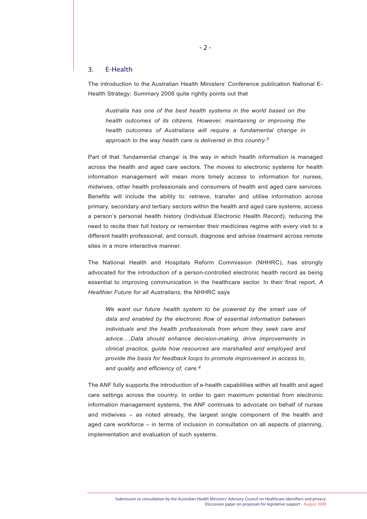## 3. E-Health

The introduction to the Australian Health Ministers' Conference publication National E-Health Strategy: Summary 2008 quite rightly points out that

*Australia has one of the best health systems in the world based on the health outcomes of its citizens. However, maintaining or improving the health outcomes of Australians will require a fundamental change in approach to the way health care is delivered in this country.3* 

Part of that 'fundamental change' is the way in which health information is managed across the health and aged care sectors. The moves to electronic systems for health information management will mean more timely access to information for nurses, midwives, other health professionals and consumers of health and aged care services. Benefits will include the ability to: retrieve, transfer and utilise information across primary, secondary and tertiary sectors within the health and aged care systems; access a person's personal health history (Individual Electronic Health Record), reducing the need to recite their full history or remember their medicines regime with every visit to a different health professional; and consult, diagnose and advise treatment across remote sites in a more interactive manner.

The National Health and Hospitals Reform Commission (NHHRC), has strongly advocated for the introduction of a person-controlled electronic health record as being essential to improving communication in the healthcare sector. In their final report, *A Healthier Future for all Australians*, the NHHRC says

*We want our future health system to be powered by the smart use of data and enabled by the electronic flow of essential information between individuals and the health professionals from whom they seek care and advice….Data should enhance decision-making, drive improvements in clinical practice, guide how resources are marshalled and employed and provide the basis for feedback loops to promote improvement in access to, and quality and efficiency of, care.4*

The ANF fully supports the introduction of e-health capabilities within all health and aged care settings across the country. In order to gain maximum potential from electronic information management systems, the ANF continues to advocate on behalf of nurses and midwives – as noted already, the largest single component of the health and aged care workforce – in terms of inclusion in consultation on all aspects of planning, implementation and evaluation of such systems.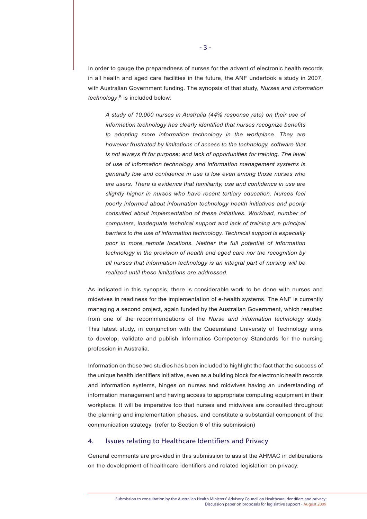In order to gauge the preparedness of nurses for the advent of electronic health records in all health and aged care facilities in the future, the ANF undertook a study in 2007, with Australian Government funding. The synopsis of that study, *Nurses and information technology*,<sup>5</sup> is included below:

*A study of 10,000 nurses in Australia (44% response rate) on their use of information technology has clearly identified that nurses recognize benefits to adopting more information technology in the workplace. They are however frustrated by limitations of access to the technology, software that is not always fit for purpose; and lack of opportunities for training. The level of use of information technology and information management systems is generally low and confidence in use is low even among those nurses who are users. There is evidence that familiarity, use and confidence in use are slightly higher in nurses who have recent tertiary education. Nurses feel poorly informed about information technology health initiatives and poorly consulted about implementation of these initiatives. Workload, number of computers, inadequate technical support and lack of training are principal barriers to the use of information technology. Technical support is especially poor in more remote locations. Neither the full potential of information technology in the provision of health and aged care nor the recognition by all nurses that information technology is an integral part of nursing will be realized until these limitations are addressed.*

As indicated in this synopsis, there is considerable work to be done with nurses and midwives in readiness for the implementation of e-health systems. The ANF is currently managing a second project, again funded by the Australian Government, which resulted from one of the recommendations of the *Nurse and information technology* study. This latest study, in conjunction with the Queensland University of Technology aims to develop, validate and publish Informatics Competency Standards for the nursing profession in Australia.

Information on these two studies has been included to highlight the fact that the success of the unique health identifiers initiative, even as a building block for electronic health records and information systems, hinges on nurses and midwives having an understanding of information management and having access to appropriate computing equipment in their workplace. It will be imperative too that nurses and midwives are consulted throughout the planning and implementation phases, and constitute a substantial component of the communication strategy. (refer to Section 6 of this submission)

# 4. Issues relating to Healthcare Identifiers and Privacy

General comments are provided in this submission to assist the AHMAC in deliberations on the development of healthcare identifiers and related legislation on privacy.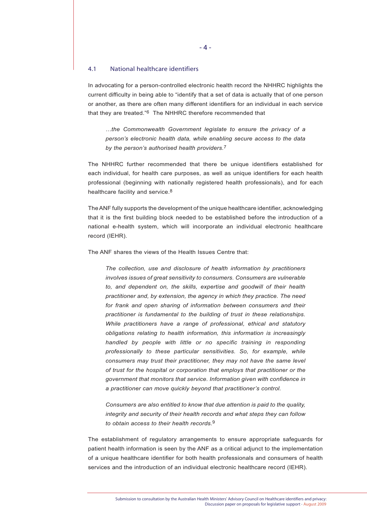#### 4.1 National healthcare identifiers

In advocating for a person-controlled electronic health record the NHHRC highlights the current difficulty in being able to "identify that a set of data is actually that of one person or another, as there are often many different identifiers for an individual in each service that they are treated."6 The NHHRC therefore recommended that

*…the Commonwealth Government legislate to ensure the privacy of a person's electronic health data, while enabling secure access to the data by the person's authorised health providers.*7

The NHHRC further recommended that there be unique identifiers established for each individual, for health care purposes, as well as unique identifiers for each health professional (beginning with nationally registered health professionals), and for each healthcare facility and service.<sup>8</sup>

The ANF fully supports the development of the unique healthcare identifier, acknowledging that it is the first building block needed to be established before the introduction of a national e-health system, which will incorporate an individual electronic healthcare record (IEHR).

The ANF shares the views of the Health Issues Centre that:

*The collection, use and disclosure of health information by practitioners involves issues of great sensitivity to consumers. Consumers are vulnerable to, and dependent on, the skills, expertise and goodwill of their health practitioner and, by extension, the agency in which they practice. The need for frank and open sharing of information between consumers and their practitioner is fundamental to the building of trust in these relationships. While practitioners have a range of professional, ethical and statutory obligations relating to health information, this information is increasingly handled by people with little or no specific training in responding professionally to these particular sensitivities. So, for example, while consumers may trust their practitioner, they may not have the same level of trust for the hospital or corporation that employs that practitioner or the government that monitors that service. Information given with confidence in a practitioner can move quickly beyond that practitioner's control.* 

*Consumers are also entitled to know that due attention is paid to the quality, integrity and security of their health records and what steps they can follow to obtain access to their health records.*9

The establishment of regulatory arrangements to ensure appropriate safeguards for patient health information is seen by the ANF as a critical adjunct to the implementation of a unique healthcare identifier for both health professionals and consumers of health services and the introduction of an individual electronic healthcare record (IEHR).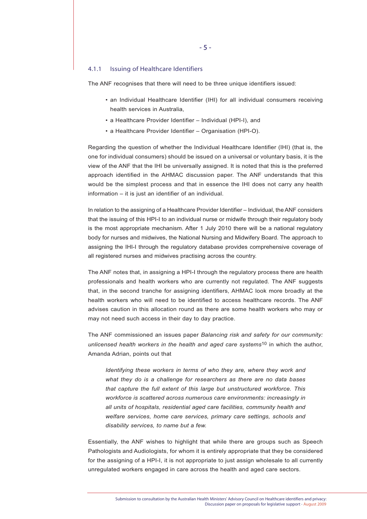#### 4.1.1 Issuing of Healthcare Identifiers

The ANF recognises that there will need to be three unique identifiers issued:

- an Individual Healthcare Identifier (IHI) for all individual consumers receiving health services in Australia,
- a Healthcare Provider Identifier Individual (HPI-I), and
- a Healthcare Provider Identifier Organisation (HPI-O).

Regarding the question of whether the Individual Healthcare Identifier (IHI) (that is, the one for individual consumers) should be issued on a universal or voluntary basis, it is the view of the ANF that the IHI be universally assigned. It is noted that this is the preferred approach identified in the AHMAC discussion paper. The ANF understands that this would be the simplest process and that in essence the IHI does not carry any health information – it is just an identifier of an individual.

In relation to the assigning of a Healthcare Provider Identifier – Individual, the ANF considers that the issuing of this HPI-I to an individual nurse or midwife through their regulatory body is the most appropriate mechanism. After 1 July 2010 there will be a national regulatory body for nurses and midwives, the National Nursing and Midwifery Board. The approach to assigning the IHI-I through the regulatory database provides comprehensive coverage of all registered nurses and midwives practising across the country.

The ANF notes that, in assigning a HPI-I through the regulatory process there are health professionals and health workers who are currently not regulated. The ANF suggests that, in the second tranche for assigning identifiers, AHMAC look more broadly at the health workers who will need to be identified to access healthcare records. The ANF advises caution in this allocation round as there are some health workers who may or may not need such access in their day to day practice.

The ANF commissioned an issues paper *Balancing risk and safety for our community: unlicensed health workers in the health and aged care systems*10 in which the author, Amanda Adrian, points out that

*Identifying these workers in terms of who they are, where they work and what they do is a challenge for researchers as there are no data bases that capture the full extent of this large but unstructured workforce. This workforce is scattered across numerous care environments: increasingly in all units of hospitals, residential aged care facilities, community health and welfare services, home care services, primary care settings, schools and disability services, to name but a few.*

Essentially, the ANF wishes to highlight that while there are groups such as Speech Pathologists and Audiologists, for whom it is entirely appropriate that they be considered for the assigning of a HPI-I, it is not appropriate to just assign wholesale to all currently unregulated workers engaged in care across the health and aged care sectors.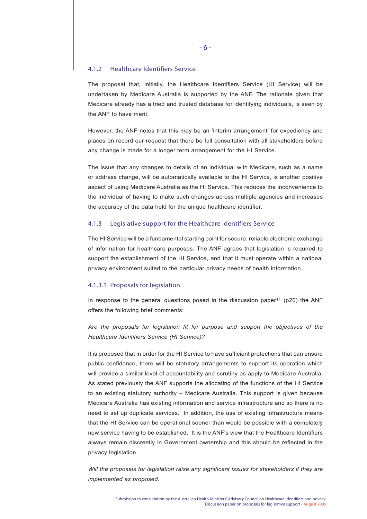## 4.1.2 Healthcare Identifiers Service

The proposal that, initially, the Healthcare Identifiers Service (HI Service) will be undertaken by Medicare Australia is supported by the ANF. The rationale given that Medicare already has a tried and trusted database for identifying individuals, is seen by the ANF to have merit.

However, the ANF notes that this may be an 'interim arrangement' for expediency and places on record our request that there be full consultation with all stakeholders before any change is made for a longer term arrangement for the HI Service.

The issue that any changes to details of an individual with Medicare, such as a name or address change, will be automatically available to the HI Service, is another positive aspect of using Medicare Australia as the HI Service. This reduces the inconvenience to the individual of having to make such changes across multiple agencies and increases the accuracy of the data held for the unique healthcare identifier.

# 4.1.3 Legislative support for the Healthcare Identifiers Service

The HI Service will be a fundamental starting point for secure, reliable electronic exchange of information for healthcare purposes. The ANF agrees that legislation is required to support the establishment of the HI Service, and that it must operate within a national privacy environment suited to the particular privacy needs of health information.

#### 4.1.3.1 Proposals for legislation

In response to the general questions posed in the discussion paper<sup>11</sup> (p20) the ANF offers the following brief comments:

*Are the proposals for legislation fit for purpose and support the objectives of the Healthcare Identifiers Service (HI Service)?*

It is proposed that in order for the HI Service to have sufficient protections that can ensure public confidence, there will be statutory arrangements to support its operation which will provide a similar level of accountability and scrutiny as apply to Medicare Australia. As stated previously the ANF supports the allocating of the functions of the HI Service to an existing statutory authority – Medicare Australia. This support is given because Medicare Australia has existing information and service infrastructure and so there is no need to set up duplicate services. In addition, the use of existing infrastructure means that the HI Service can be operational sooner than would be possible with a completely new service having to be established. It is the ANF's view that the Healthcare Identifiers always remain discreetly in Government ownership and this should be reflected in the privacy legislation.

*Will the proposals for legislation raise any significant issues for stakeholders if they are implemented as proposed.*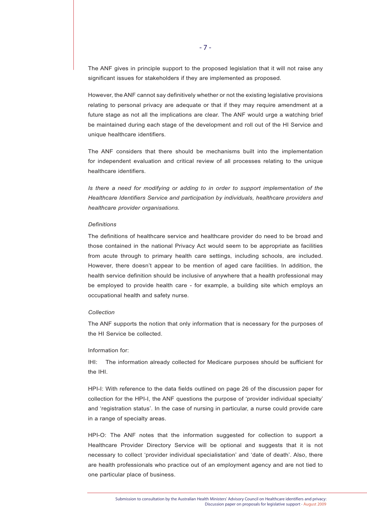The ANF gives in principle support to the proposed legislation that it will not raise any significant issues for stakeholders if they are implemented as proposed.

However, the ANF cannot say definitively whether or not the existing legislative provisions relating to personal privacy are adequate or that if they may require amendment at a future stage as not all the implications are clear. The ANF would urge a watching brief be maintained during each stage of the development and roll out of the HI Service and unique healthcare identifiers.

The ANF considers that there should be mechanisms built into the implementation for independent evaluation and critical review of all processes relating to the unique healthcare identifiers.

*Is there a need for modifying or adding to in order to support implementation of the Healthcare Identifiers Service and participation by individuals, healthcare providers and healthcare provider organisations.*

#### *Definitions*

The definitions of healthcare service and healthcare provider do need to be broad and those contained in the national Privacy Act would seem to be appropriate as facilities from acute through to primary health care settings, including schools, are included. However, there doesn't appear to be mention of aged care facilities. In addition, the health service definition should be inclusive of anywhere that a health professional may be employed to provide health care - for example, a building site which employs an occupational health and safety nurse.

#### *Collection*

The ANF supports the notion that only information that is necessary for the purposes of the HI Service be collected.

#### Information for:

IHI: The information already collected for Medicare purposes should be sufficient for the IHI.

HPI-I: With reference to the data fields outlined on page 26 of the discussion paper for collection for the HPI-I, the ANF questions the purpose of 'provider individual specialty' and 'registration status'. In the case of nursing in particular, a nurse could provide care in a range of specialty areas.

HPI-O: The ANF notes that the information suggested for collection to support a Healthcare Provider Directory Service will be optional and suggests that it is not necessary to collect 'provider individual specialistation' and 'date of death'. Also, there are health professionals who practice out of an employment agency and are not tied to one particular place of business.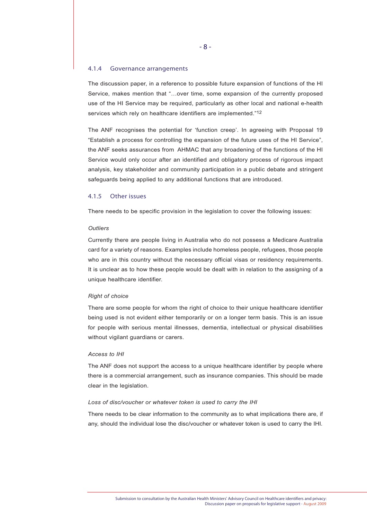#### 4.1.4 Governance arrangements

The discussion paper, in a reference to possible future expansion of functions of the HI Service, makes mention that "…over time, some expansion of the currently proposed use of the HI Service may be required, particularly as other local and national e-health services which rely on healthcare identifiers are implemented."12

The ANF recognises the potential for 'function creep'. In agreeing with Proposal 19 "Establish a process for controlling the expansion of the future uses of the HI Service", the ANF seeks assurances from AHMAC that any broadening of the functions of the HI Service would only occur after an identified and obligatory process of rigorous impact analysis, key stakeholder and community participation in a public debate and stringent safeguards being applied to any additional functions that are introduced.

## 4.1.5 Other issues

There needs to be specific provision in the legislation to cover the following issues:

## *Outliers*

Currently there are people living in Australia who do not possess a Medicare Australia card for a variety of reasons. Examples include homeless people, refugees, those people who are in this country without the necessary official visas or residency requirements. It is unclear as to how these people would be dealt with in relation to the assigning of a unique healthcare identifier.

### *Right of choice*

There are some people for whom the right of choice to their unique healthcare identifier being used is not evident either temporarily or on a longer term basis. This is an issue for people with serious mental illnesses, dementia, intellectual or physical disabilities without vigilant guardians or carers.

## *Access to IHI*

The ANF does not support the access to a unique healthcare identifier by people where there is a commercial arrangement, such as insurance companies. This should be made clear in the legislation.

#### *Loss of disc/voucher or whatever token is used to carry the IHI*

There needs to be clear information to the community as to what implications there are, if any, should the individual lose the disc/voucher or whatever token is used to carry the IHI.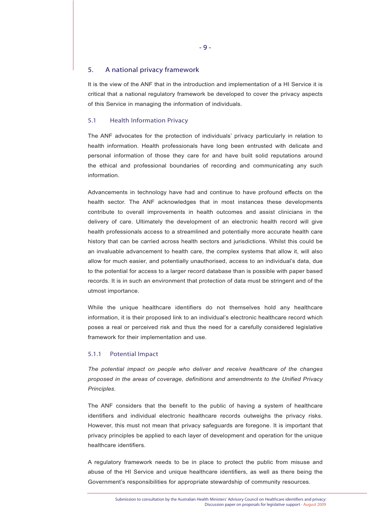## 5. A national privacy framework

It is the view of the ANF that in the introduction and implementation of a HI Service it is critical that a national regulatory framework be developed to cover the privacy aspects of this Service in managing the information of individuals.

## 5.1 Health Information Privacy

The ANF advocates for the protection of individuals' privacy particularly in relation to health information. Health professionals have long been entrusted with delicate and personal information of those they care for and have built solid reputations around the ethical and professional boundaries of recording and communicating any such information.

Advancements in technology have had and continue to have profound effects on the health sector. The ANF acknowledges that in most instances these developments contribute to overall improvements in health outcomes and assist clinicians in the delivery of care. Ultimately the development of an electronic health record will give health professionals access to a streamlined and potentially more accurate health care history that can be carried across health sectors and jurisdictions. Whilst this could be an invaluable advancement to health care, the complex systems that allow it, will also allow for much easier, and potentially unauthorised, access to an individual's data, due to the potential for access to a larger record database than is possible with paper based records. It is in such an environment that protection of data must be stringent and of the utmost importance.

While the unique healthcare identifiers do not themselves hold any healthcare information, it is their proposed link to an individual's electronic healthcare record which poses a real or perceived risk and thus the need for a carefully considered legislative framework for their implementation and use.

#### 5.1.1 Potential Impact

*The potential impact on people who deliver and receive healthcare of the changes proposed in the areas of coverage, definitions and amendments to the Unified Privacy Principles.*

The ANF considers that the benefit to the public of having a system of healthcare identifiers and individual electronic healthcare records outweighs the privacy risks. However, this must not mean that privacy safeguards are foregone. It is important that privacy principles be applied to each layer of development and operation for the unique healthcare identifiers.

A regulatory framework needs to be in place to protect the public from misuse and abuse of the HI Service and unique healthcare identifiers, as well as there being the Government's responsibilities for appropriate stewardship of community resources.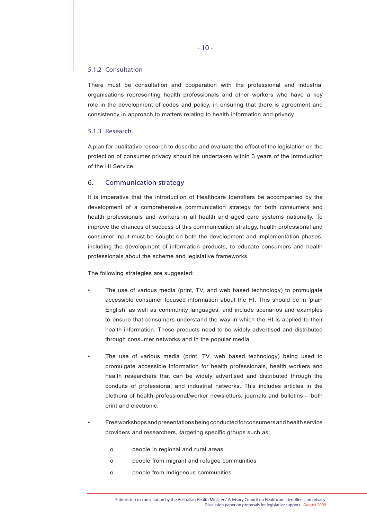## 5.1.2 Consultation

There must be consultation and cooperation with the professional and industrial organisations representing health professionals and other workers who have a key role in the development of codes and policy, in ensuring that there is agreement and consistency in approach to matters relating to health information and privacy.

## 5.1.3 Research

A plan for qualitative research to describe and evaluate the effect of the legislation on the protection of consumer privacy should be undertaken within 3 years of the introduction of the HI Service.

# 6. Communication strategy

It is imperative that the introduction of Healthcare Identifiers be accompanied by the development of a comprehensive communication strategy for both consumers and health professionals and workers in all health and aged care systems nationally. To improve the chances of success of this communication strategy, health professional and consumer input must be sought on both the development and implementation phases, including the development of information products, to educate consumers and health professionals about the scheme and legislative frameworks.

The following strategies are suggested:

- The use of various media (print, TV, and web based technology) to promulgate accessible consumer focused information about the HI. This should be in 'plain English' as well as community languages, and include scenarios and examples to ensure that consumers understand the way in which the HI is applied to their health information. These products need to be widely advertised and distributed through consumer networks and in the popular media.
- The use of various media (print, TV, web based technology) being used to promulgate accessible information for health professionals, health workers and health researchers that can be widely advertised and distributed through the conduits of professional and industrial networks. This includes articles in the plethora of health professional/worker newsletters, journals and bulletins – both print and electronic.
- Free workshops and presentations being conducted for consumers and health service providers and researchers, targeting specific groups such as:
	- o people in regional and rural areas
	- o people from migrant and refugee communities
	- o people from Indigenous communities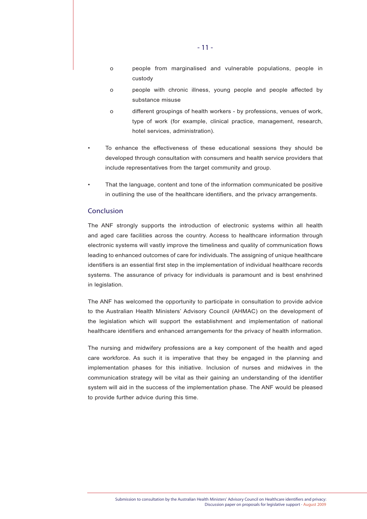- o people from marginalised and vulnerable populations, people in custody
- o people with chronic illness, young people and people affected by substance misuse
- o different groupings of health workers by professions, venues of work, type of work (for example, clinical practice, management, research, hotel services, administration).
- To enhance the effectiveness of these educational sessions they should be developed through consultation with consumers and health service providers that include representatives from the target community and group.
- That the language, content and tone of the information communicated be positive in outlining the use of the healthcare identifiers, and the privacy arrangements.

## Conclusion

The ANF strongly supports the introduction of electronic systems within all health and aged care facilities across the country. Access to healthcare information through electronic systems will vastly improve the timeliness and quality of communication flows leading to enhanced outcomes of care for individuals. The assigning of unique healthcare identifiers is an essential first step in the implementation of individual healthcare records systems. The assurance of privacy for individuals is paramount and is best enshrined in legislation.

The ANF has welcomed the opportunity to participate in consultation to provide advice to the Australian Health Ministers' Advisory Council (AHMAC) on the development of the legislation which will support the establishment and implementation of national healthcare identifiers and enhanced arrangements for the privacy of health information.

The nursing and midwifery professions are a key component of the health and aged care workforce. As such it is imperative that they be engaged in the planning and implementation phases for this initiative. Inclusion of nurses and midwives in the communication strategy will be vital as their gaining an understanding of the identifier system will aid in the success of the implementation phase. The ANF would be pleased to provide further advice during this time.